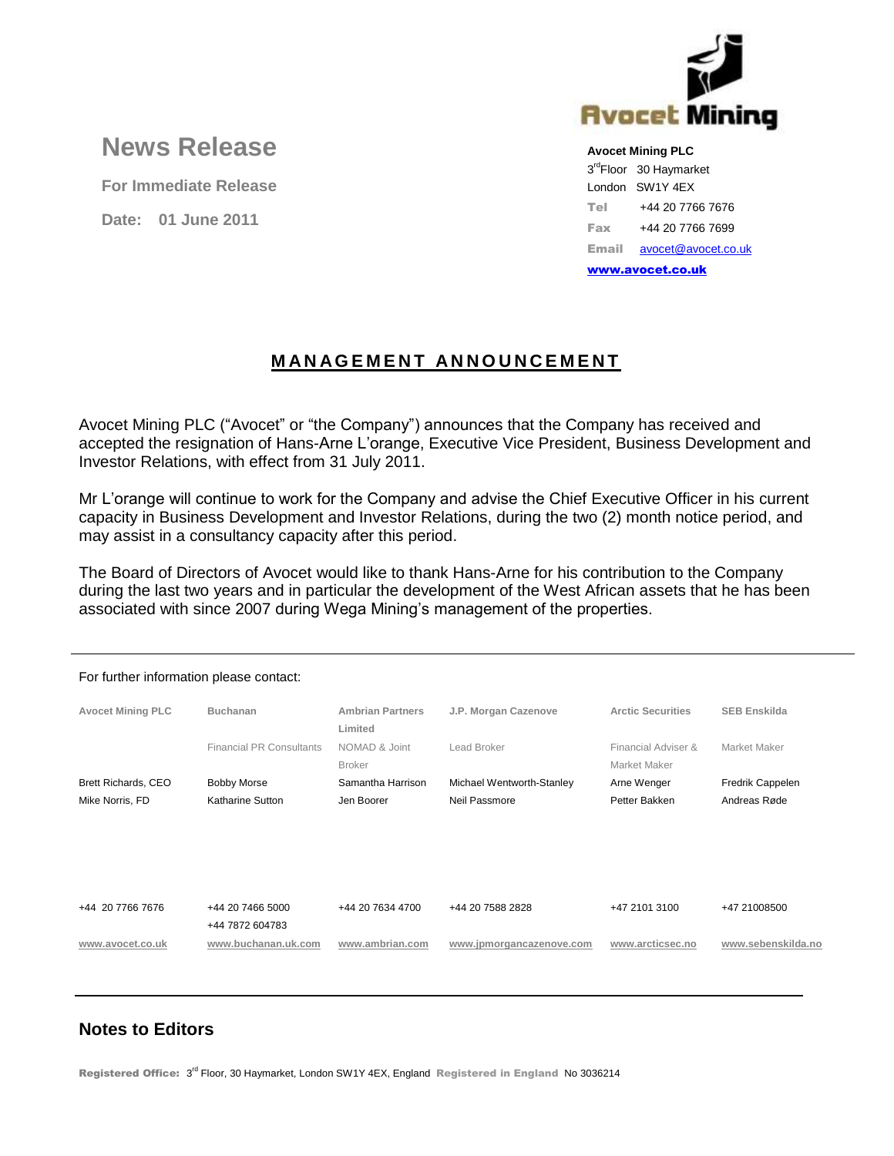

## **News Release**

**For Immediate Release**

**Date: 01 June 2011**

**Avocet Mining PLC**

3<sup>rd</sup>Floor 30 Haymarket London SW1Y 4EX Tel +44 20 7766 7676 Fax +44 20 7766 7699 Email [avocet@avocet.co.uk](mailto:avocet@avocet.co.uk)

[www.avocet.co.uk](http://www.avocet.co.uk/)

## **M A N AG E M E N T A N N O U N C E M E N T**

Avocet Mining PLC ("Avocet" or "the Company") announces that the Company has received and accepted the resignation of Hans-Arne L'orange, Executive Vice President, Business Development and Investor Relations, with effect from 31 July 2011.

Mr L'orange will continue to work for the Company and advise the Chief Executive Officer in his current capacity in Business Development and Investor Relations, during the two (2) month notice period, and may assist in a consultancy capacity after this period.

The Board of Directors of Avocet would like to thank Hans-Arne for his contribution to the Company during the last two years and in particular the development of the West African assets that he has been associated with since 2007 during Wega Mining's management of the properties.

| For further information please contact: |                                     |                                    |                           |                                     |                     |
|-----------------------------------------|-------------------------------------|------------------------------------|---------------------------|-------------------------------------|---------------------|
| <b>Avocet Mining PLC</b>                | <b>Buchanan</b>                     | <b>Ambrian Partners</b><br>Limited | J.P. Morgan Cazenove      | <b>Arctic Securities</b>            | <b>SEB Enskilda</b> |
|                                         | <b>Financial PR Consultants</b>     | NOMAD & Joint<br><b>Broker</b>     | Lead Broker               | Financial Adviser &<br>Market Maker | Market Maker        |
| Brett Richards, CEO                     | <b>Bobby Morse</b>                  | Samantha Harrison                  | Michael Wentworth-Stanley | Arne Wenger                         | Fredrik Cappelen    |
| Mike Norris, FD                         | Katharine Sutton                    | Jen Boorer                         | Neil Passmore             | Petter Bakken                       | Andreas Røde        |
|                                         |                                     |                                    |                           |                                     |                     |
| +44 20 7766 7676                        | +44 20 7466 5000<br>+44 7872 604783 | +44 20 7634 4700                   | +44 20 7588 2828          | +47 2101 3100                       | +47 21008500        |
| www.avocet.co.uk                        | www.buchanan.uk.com                 | www.ambrian.com                    | www.jpmorgancazenove.com  | www.arcticsec.no                    | www.sebenskilda.no  |

## **Notes to Editors**

Registered Office: 3<sup>rd</sup> Floor, 30 Haymarket, London SW1Y 4EX, England Registered in England No 3036214